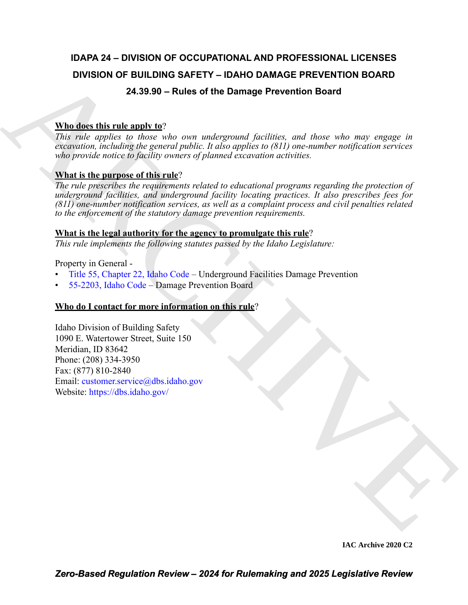# **IDAPA 24 – DIVISION OF OCCUPATIONAL AND PROFESSIONAL LICENSES DIVISION OF BUILDING SAFETY – IDAHO DAMAGE PREVENTION BOARD 24.39.90 – Rules of the Damage Prevention Board**

# **Who does this rule apply to**?

*This rule applies to those who own underground facilities, and those who may engage in excavation, including the general public. It also applies to (811) one-number notification services who provide notice to facility owners of planned excavation activities.*

# **What is the purpose of this rule**?

DIVISION OF BUILDING SAFETY - IDAHO DANAGE PREVENTION BOARD<br>
24.39.39 - Rules of the Damage Prevention Board<br>
Wallders this howe who can andepended facilities, and those who may engage in<br>
This reduce space in the case of *The rule prescribes the requirements related to educational programs regarding the protection of underground facilities, and underground facility locating practices. It also prescribes fees for (811) one-number notification services, as well as a complaint process and civil penalties related to the enforcement of the statutory damage prevention requirements.*

## **What is the legal authority for the agency to promulgate this rule**?

*This rule implements the following statutes passed by the Idaho Legislature:*

Property in General -

- Title 55, Chapter 22, Idaho Code Underground Facilities Damage Prevention
- 55-2203, Idaho Code Damage Prevention Board

# **Who do I contact for more information on this rule**?

Idaho Division of Building Safety 1090 E. Watertower Street, Suite 150 Meridian, ID 83642 Phone: (208) 334-3950 Fax: (877) 810-2840 Email: customer.service@dbs.idaho.gov Website: https://dbs.idaho.gov/

**IAC Archive 2020 C2**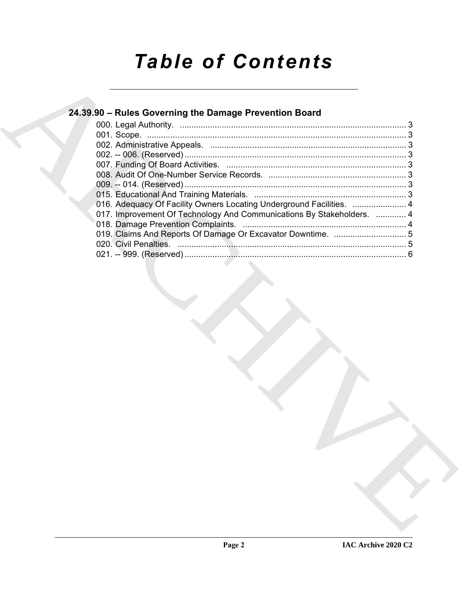# *Table of Contents*

| 24.39.90 - Rules Governing the Damage Prevention Board                |  |
|-----------------------------------------------------------------------|--|
|                                                                       |  |
|                                                                       |  |
|                                                                       |  |
|                                                                       |  |
|                                                                       |  |
|                                                                       |  |
|                                                                       |  |
|                                                                       |  |
| 016. Adequacy Of Facility Owners Locating Underground Facilities.  4  |  |
| 017. Improvement Of Technology And Communications By Stakeholders.  4 |  |
|                                                                       |  |
|                                                                       |  |
|                                                                       |  |
|                                                                       |  |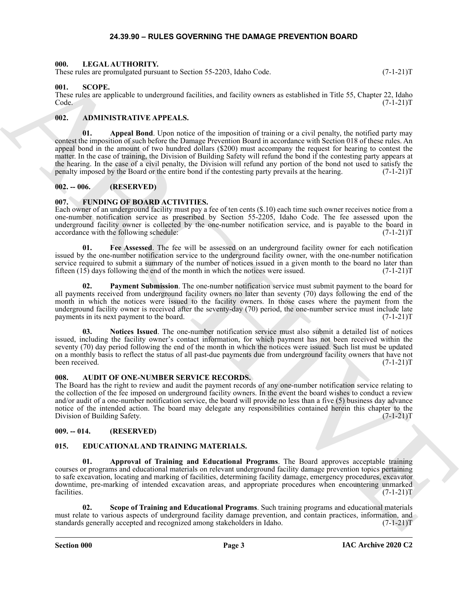#### **24.39.90 – RULES GOVERNING THE DAMAGE PREVENTION BOARD**

#### <span id="page-2-18"></span><span id="page-2-1"></span><span id="page-2-0"></span>**000. LEGAL AUTHORITY.**

These rules are promulgated pursuant to Section 55-2203, Idaho Code. (7-1-21)T

#### <span id="page-2-19"></span><span id="page-2-2"></span>**001. SCOPE.**

These rules are applicable to underground facilities, and facility owners as established in Title 55, Chapter 22, Idaho Code. (7-1-21)T  $\text{Code.} \tag{7-1-21}$ 

#### <span id="page-2-9"></span><span id="page-2-3"></span>**002. ADMINISTRATIVE APPEALS.**

Here space procedure of the constraints of the space of the space of the space of the space of the space of the space of the space of the space of the space of the space of the space of the space of the space of the space **01. Appeal Bond**. Upon notice of the imposition of training or a civil penalty, the notified party may contest the imposition of such before the Damage Prevention Board in accordance with Section 018 of these rules. An appeal bond in the amount of two hundred dollars (\$200) must accompany the request for hearing to contest the matter. In the case of training, the Division of Building Safety will refund the bond if the contesting party appears at the hearing. In the case of a civil penalty, the Division will refund any portion of the bond not used to satisfy the penalty imposed by the Board or the entire bond if the contesting party prevails at the hearing. (7-1-21 penalty imposed by the Board or the entire bond if the contesting party prevails at the hearing.

#### <span id="page-2-4"></span>**002. -- 006. (RESERVED)**

#### <span id="page-2-14"></span><span id="page-2-5"></span>**007. FUNDING OF BOARD ACTIVITIES.**

Each owner of an underground facility must pay a fee of ten cents (\$.10) each time such owner receives notice from a one-number notification service as prescribed by Section 55-2205, Idaho Code. The fee assessed upon the underground facility owner is collected by the one-number notification service, and is payable to the board in accordance with the following schedule:  $(7-1-21)$ accordance with the following schedule:

<span id="page-2-15"></span>**01. Fee Assessed**. The fee will be assessed on an underground facility owner for each notification issued by the one-number notification service to the underground facility owner, with the one-number notification service required to submit a summary of the number of notices issued in a given month to the board no later than fifteen  $(15)$  days following the end of the month in which the notices were issued.  $(7-1-21)$ T

<span id="page-2-17"></span>**Payment Submission**. The one-number notification service must submit payment to the board for all payments received from underground facility owners no later than seventy (70) days following the end of the month in which the notices were issued to the facility owners. In those cases where the payment from the underground facility owner is received after the seventy-day (70) period, the one-number service must include late payments in its next payment to the board. (7-1-21)T

<span id="page-2-16"></span>**03. Notices Issued**. The one-number notification service must also submit a detailed list of notices issued, including the facility owner's contact information, for which payment has not been received within the seventy (70) day period following the end of the month in which the notices were issued. Such list must be updated on a monthly basis to reflect the status of all past-due payments due from underground facility owners that have not been received. (7-1-21)T

#### <span id="page-2-10"></span><span id="page-2-6"></span>**008. AUDIT OF ONE-NUMBER SERVICE RECORDS.**

The Board has the right to review and audit the payment records of any one-number notification service relating to the collection of the fee imposed on underground facility owners. In the event the board wishes to conduct a review and/or audit of a one-number notification service, the board will provide no less than a five (5) business day advance notice of the intended action. The board may delegate any responsibilities contained herein this chapter to the Division of Building Safety. (7-1-21)T Division of Building Safety.

#### <span id="page-2-7"></span>**009. -- 014. (RESERVED)**

#### <span id="page-2-11"></span><span id="page-2-8"></span>**015. EDUCATIONAL AND TRAINING MATERIALS.**

<span id="page-2-12"></span>**01. Approval of Training and Educational Programs**. The Board approves acceptable training courses or programs and educational materials on relevant underground facility damage prevention topics pertaining to safe excavation, locating and marking of facilities, determining facility damage, emergency procedures, excavator downtime, pre-marking of intended excavation areas, and appropriate procedures when encountering unmarked facilities. (7-1-21)T facilities.  $(7-1-21)T$ 

<span id="page-2-13"></span>**02. Scope of Training and Educational Programs**. Such training programs and educational materials must relate to various aspects of underground facility damage prevention, and contain practices, information, and standards generally accepted and recognized among stakeholders in Idaho. (7-1-21) standards generally accepted and recognized among stakeholders in Idaho.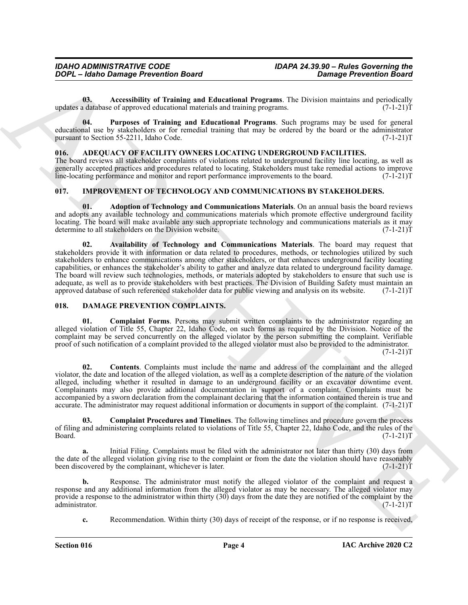<span id="page-3-8"></span>**03.** Accessibility of Training and Educational Programs. The Division maintains and periodically database of approved educational materials and training programs. (7-1-21) updates a database of approved educational materials and training programs.

<span id="page-3-9"></span>**04. Purposes of Training and Educational Programs**. Such programs may be used for general educational use by stakeholders or for remedial training that may be ordered by the board or the administrator pursuant to Section 55-2211, Idaho Code. (7-1-21) pursuant to Section 55-2211, Idaho Code.

#### <span id="page-3-3"></span><span id="page-3-0"></span>**016. ADEQUACY OF FACILITY OWNERS LOCATING UNDERGROUND FACILITIES.**

The board reviews all stakeholder complaints of violations related to underground facility line locating, as well as generally accepted practices and procedures related to locating. Stakeholders must take remedial actions to improve<br>line-locating performance and monitor and report performance improvements to the board. (7-1-21)T line-locating performance and monitor and report performance improvements to the board.

#### <span id="page-3-10"></span><span id="page-3-1"></span>**017. IMPROVEMENT OF TECHNOLOGY AND COMMUNICATIONS BY STAKEHOLDERS.**

<span id="page-3-12"></span><span id="page-3-11"></span>**01. Adoption of Technology and Communications Materials**. On an annual basis the board reviews and adopts any available technology and communications materials which promote effective underground facility locating. The board will make available any such appropriate technology and communications materials as it may determine to all stakeholders on the Division website. (7-1-21)T

**2004** C. Adapte of the energy Breezelium and the energy and the space of the energy Breezelium Barriston of the energy and the energy and the energy and the energy and the energy and the energy and the energy and the ene **02. Availability of Technology and Communications Materials**. The board may request that stakeholders provide it with information or data related to procedures, methods, or technologies utilized by such stakeholders to enhance communications among other stakeholders, or that enhances underground facility locating capabilities, or enhances the stakeholder's ability to gather and analyze data related to underground facility damage. The board will review such technologies, methods, or materials adopted by stakeholders to ensure that such use is adequate, as well as to provide stakeholders with best practices. The Division of Building Safety must maintain an approved database of such referenced stakeholder data for public viewing and analysis on its website. (7-1approved database of such referenced stakeholder data for public viewing and analysis on its website.

#### <span id="page-3-4"></span><span id="page-3-2"></span>**018. DAMAGE PREVENTION COMPLAINTS.**

<span id="page-3-5"></span>**01. Complaint Forms**. Persons may submit written complaints to the administrator regarding an alleged violation of Title 55, Chapter 22, Idaho Code, on such forms as required by the Division. Notice of the complaint may be served concurrently on the alleged violator by the person submitting the complaint. Verifiable proof of such notification of a complaint provided to the alleged violator must also be provided to the administrator.  $(7-1-21)T$ 

<span id="page-3-7"></span>**02. Contents**. Complaints must include the name and address of the complainant and the alleged violator, the date and location of the alleged violation, as well as a complete description of the nature of the violation alleged, including whether it resulted in damage to an underground facility or an excavator downtime event. Complainants may also provide additional documentation in support of a complaint. Complaints must be accompanied by a sworn declaration from the complainant declaring that the information contained therein is true and accurate. The administrator may request additional information or documents in support of the complaint. (7-1-21)T

<span id="page-3-6"></span>**03. Complaint Procedures and Timelines**. The following timelines and procedure govern the process of filing and administering complaints related to violations of Title 55, Chapter 22, Idaho Code, and the rules of the Board. (7-1-21)T  $Board.$  (7-1-21) $T$ 

**a.** Initial Filing. Complaints must be filed with the administrator not later than thirty (30) days from the date of the alleged violation giving rise to the complaint or from the date the violation should have reasonably<br>been discovered by the complainant, whichever is later. (7-1-21) been discovered by the complainant, whichever is later.

**b.** Response. The administrator must notify the alleged violator of the complaint and request a response and any additional information from the alleged violator as may be necessary. The alleged violator may provide a response to the administrator within thirty  $(30)$  days from the date they are notified of the complaint by the administrator.  $(7-1-21)T$ administrator.

**c.** Recommendation. Within thirty (30) days of receipt of the response, or if no response is received,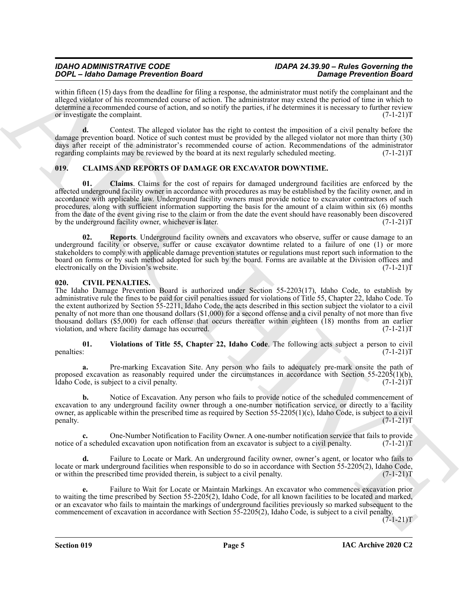#### *IDAHO ADMINISTRATIVE CODE IDAPA 24.39.90 – Rules Governing the DOPL – Idaho Damage Prevention Board Damage Prevention Board*

within fifteen (15) days from the deadline for filing a response, the administrator must notify the complainant and the alleged violator of his recommended course of action. The administrator may extend the period of time in which to determine a recommended course of action, and so notify the parties, if he determines it is necessary to further review or investigate the complaint. (7-1-21)T

**d.** Contest. The alleged violator has the right to contest the imposition of a civil penalty before the damage prevention board. Notice of such contest must be provided by the alleged violator not more than thirty (30) days after receipt of the administrator's recommended course of action. Recommendations of the administrator regarding complaints may be reviewed by the board at its next regularly scheduled meeting. (7-1-21)T

## <span id="page-4-5"></span><span id="page-4-4"></span><span id="page-4-0"></span>**019. CLAIMS AND REPORTS OF DAMAGE OR EXCAVATOR DOWNTIME.**

GOC — depends from the state of the state and the state of the state of the state of the state of the state of the state of the state of the state of the state of the state of the state of the state of the state of the st **01. Claims**. Claims for the cost of repairs for damaged underground facilities are enforced by the affected underground facility owner in accordance with procedures as may be established by the facility owner, and in accordance with applicable law. Underground facility owners must provide notice to excavator contractors of such procedures, along with sufficient information supporting the basis for the amount of a claim within six (6) months from the date of the event giving rise to the claim or from the date the event should have reasonably been discovered by the underground facility owner, whichever is later. (7-1-21)T

<span id="page-4-6"></span>**02. Reports**. Underground facility owners and excavators who observe, suffer or cause damage to an underground facility or observe, suffer or cause excavator downtime related to a failure of one (1) or more stakeholders to comply with applicable damage prevention statutes or regulations must report such information to the board on forms or by such method adopted for such by the board. Forms are available at the Division offices and electronically on the Division's website. (7-1-21) electronically on the Division's website.

#### <span id="page-4-2"></span><span id="page-4-1"></span>**020. CIVIL PENALTIES.**

The Idaho Damage Prevention Board is authorized under Section 55-2203(17), Idaho Code, to establish by administrative rule the fines to be paid for civil penalties issued for violations of Title 55, Chapter 22, Idaho Code. To the extent authorized by Section 55-2211, Idaho Code, the acts described in this section subject the violator to a civil penalty of not more than one thousand dollars (\$1,000) for a second offense and a civil penalty of not more than five thousand dollars (\$5,000) for each offense that occurs thereafter within eighteen (18) months from an earlier violation, and where facility damage has occurred. (7-1-21)T

<span id="page-4-3"></span>**01.** Violations of Title 55, Chapter 22, Idaho Code. The following acts subject a person to civil penalties:  $(7-1-21)T$ penalties: (7-1-21)T

**a.** Pre-marking Excavation Site. Any person who fails to adequately pre-mark onsite the path of proposed excavation as reasonably required under the circumstances in accordance with Section 55-2205(1)(b), Idaho Code, is subject to a civil penalty. (7-1-21)T

**b.** Notice of Excavation. Any person who fails to provide notice of the scheduled commencement of excavation to any underground facility owner through a one-number notification service, or directly to a facility owner, as applicable within the prescribed time as required by Section 55-2205(1)(c), Idaho Code, is subject to a civil penalty. (7-1-21)T

**c.** One-Number Notification to Facility Owner. A one-number notification service that fails to provide  $\hat{a}$  a scheduled excavation upon notification from an excavator is subject to a civil penalty. (7-1-21) notice of a scheduled excavation upon notification from an excavator is subject to a civil penalty.

**d.** Failure to Locate or Mark. An underground facility owner, owner's agent, or locator who fails to locate or mark underground facilities when responsible to do so in accordance with Section 55-2205(2), Idaho Code, or within the prescribed time provided therein, is subject to a civil penalty. (7-1-21) or within the prescribed time provided therein, is subject to a civil penalty.

**e.** Failure to Wait for Locate or Maintain Markings. An excavator who commences excavation prior to waiting the time prescribed by Section 55-2205(2), Idaho Code, for all known facilities to be located and marked, or an excavator who fails to maintain the markings of underground facilities previously so marked subsequent to the commencement of excavation in accordance with Section 55-2205(2), Idaho Code, is subject to a civil penalty.

 $(7-1-21)T$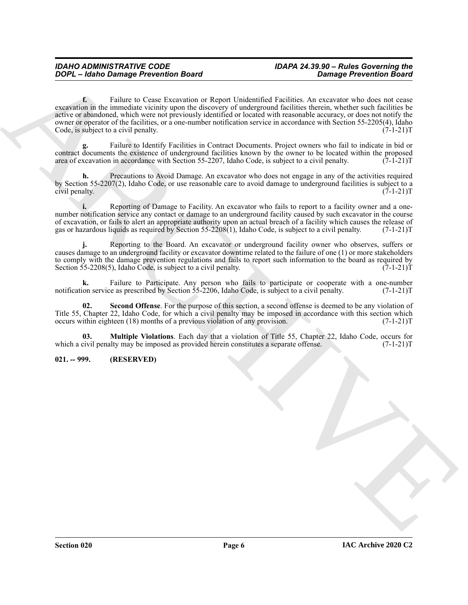**COPY - Johns Damage Preceding Based<br>
Compass Preceding Based (1998) - Compass Preceding Based (1999) - Compass Preceding Based (1999) - Compass Preceding Based (1999) - Compass Preceding Based (1999) - Compass Preceding f.** Failure to Cease Excavation or Report Unidentified Facilities. An excavator who does not cease excavation in the immediate vicinity upon the discovery of underground facilities therein, whether such facilities be active or abandoned, which were not previously identified or located with reasonable accuracy, or does not notify the owner or operator of the facilities, or a one-number notification service in accordance with Section 55-2205(4), Idaho Code, is subject to a civil penalty. (7-1-21) T

**g.** Failure to Identify Facilities in Contract Documents. Project owners who fail to indicate in bid or contract documents the existence of underground facilities known by the owner to be located within the proposed area of excavation in accordance with Section 55-2207, Idaho Code, is subject to a civil penalty. (7-1-21)T

**h.** Precautions to Avoid Damage. An excavator who does not engage in any of the activities required by Section 55-2207(2), Idaho Code, or use reasonable care to avoid damage to underground facilities is subject to a civil penalty. (7-1-21)T

**i.** Reporting of Damage to Facility. An excavator who fails to report to a facility owner and a onenumber notification service any contact or damage to an underground facility caused by such excavator in the course of excavation, or fails to alert an appropriate authority upon an actual breach of a facility which causes the release of gas or hazardous liquids as required by Section 55-2208(1), Idaho Code, is subject to a civil penalty. (7-1-21)T

**j.** Reporting to the Board. An excavator or underground facility owner who observes, suffers or causes damage to an underground facility or excavator downtime related to the failure of one (1) or more stakeholders to comply with the damage prevention regulations and fails to report such information to the board as required by Section 55-2208(5), Idaho Code, is subject to a civil penalty. (7-1-21) T

**k.** Failure to Participate. Any person who fails to participate or cooperate with a one-number ion service as prescribed by Section 55-2206, Idaho Code, is subject to a civil penalty.  $(7-1-21)$ notification service as prescribed by Section 55-2206, Idaho Code, is subject to a civil penalty.

<span id="page-5-2"></span>**Second Offense**. For the purpose of this section, a second offense is deemed to be any violation of Title 55, Chapter 22, Idaho Code, for which a civil penalty may be imposed in accordance with this section which occurs within eighteen (18) months of a previous violation of any provision. (7-1-21) occurs within eighteen (18) months of a previous violation of any provision.

<span id="page-5-1"></span>**03. Multiple Violations**. Each day that a violation of Title 55, Chapter 22, Idaho Code, occurs for which a civil penalty may be imposed as provided herein constitutes a separate offense. (7-1-21)T

#### <span id="page-5-0"></span>**021. -- 999. (RESERVED)**